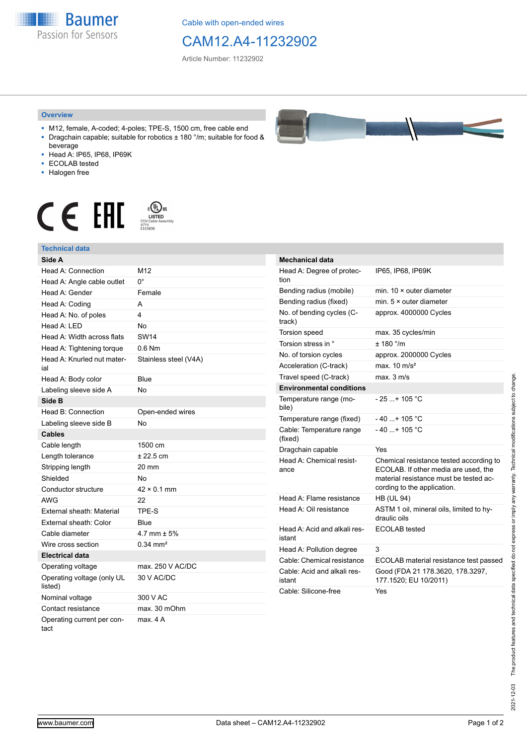**Baumer** Passion for Sensors

Cable with open-ended wires

## CAM12.A4-11232902

Article Number: 11232902

## **Overview**

- M12, female, A-coded; 4-poles; TPE-S, 1500 cm, free cable end ■ Dragchain capable; suitable for robotics ± 180 °/m; suitable for food &
- beverage ■ Head A: IP65, IP68, IP69K
- ECOLAB tested
- Halogen free
- 

## $\begin{array}{ccc} \textbf{C} & \textbf{F} & \overset{\text{\tiny{c}}\textbf{(D)}\textbf{S}}{\textbf{F}}\\ \textbf{F} & \overset{\text{\tiny{c}}\textbf{(M)}\textbf{S}}{\textbf{F}}\\ \textbf{F} & \overset{\text{\tiny{c}}\textbf{(M)}\textbf{S}}{\textbf{F}}\\ \textbf{F} & \overset{\text{\tiny{c}}\textbf{(M)}\textbf{S}}{\textbf{F}}\\ \textbf{F} & \overset{\text{\tiny{c}}\textbf{(M)}\textbf{S}}{\textbf{F}}\\ \textbf{F} & \overset{\text{\tiny{c}}\textbf{(M)}}{\textbf$

| <b>Technical data</b>                 |                       |
|---------------------------------------|-----------------------|
| Side A                                |                       |
| Head A: Connection                    | M12                   |
| Head A: Angle cable outlet            | U.                    |
| Head A: Gender                        | Female                |
| Head A: Coding                        | A                     |
| Head A: No. of poles                  | 4                     |
| Head $A \cdot IFD$                    | No                    |
| Head A: Width across flats            | <b>SW14</b>           |
| Head A: Tightening torque             | $0.6$ Nm              |
| Head A: Knurled nut mater-<br>ial     | Stainless steel (V4A) |
| Head A: Body color                    | Blue                  |
| Labeling sleeve side A                | No                    |
| Side B                                |                       |
| Head B: Connection                    | Open-ended wires      |
| Labeling sleeve side B                | No                    |
| <b>Cables</b>                         |                       |
| Cable length                          | 1500 cm               |
| Length tolerance                      | ± 22.5 cm             |
| Stripping length                      | 20 mm                 |
| Shielded                              | N٥                    |
| Conductor structure                   | $42 \times 0.1$ mm    |
| AWG                                   | 22                    |
| External sheath: Material             | TPE-S                 |
| External sheath: Color                | Blue                  |
| Cable diameter                        | 4.7 mm $\pm$ 5%       |
| Wire cross section                    | $0.34 \, \text{mm}^2$ |
| Electrical data                       |                       |
| Operating voltage                     | max. 250 V AC/DC      |
| Operating voltage (only UL<br>listed) | 30 V AC/DC            |
| Nominal voltage                       | 300 V AC              |
| Contact resistance                    | max. 30 mOhm          |
| Operating current per con-<br>tact    | max. 4 A              |



| <b>Mechanical data</b>                 |                                                                                                                                                          |
|----------------------------------------|----------------------------------------------------------------------------------------------------------------------------------------------------------|
| Head A: Degree of protec-<br>tion      | IP65, IP68, IP69K                                                                                                                                        |
| Bending radius (mobile)                | min. 10 × outer diameter                                                                                                                                 |
| Bending radius (fixed)                 | min. $5 \times$ outer diameter                                                                                                                           |
| No. of bending cycles (C-<br>track)    | approx. 4000000 Cycles                                                                                                                                   |
| Torsion speed                          | max. 35 cycles/min                                                                                                                                       |
| Torsion stress in °                    | ± 180 °/m                                                                                                                                                |
| No. of torsion cycles                  | approx. 2000000 Cycles                                                                                                                                   |
| Acceleration (C-track)                 | max. $10 \text{ m/s}^2$                                                                                                                                  |
| Travel speed (C-track)                 | max. 3 m/s                                                                                                                                               |
| <b>Environmental conditions</b>        |                                                                                                                                                          |
| Temperature range (mo-<br>bile)        | $-25$ + 105 °C                                                                                                                                           |
| Temperature range (fixed)              | $-40$ + 105 °C                                                                                                                                           |
| Cable: Temperature range<br>(fixed)    | $-40$ + 105 °C                                                                                                                                           |
| Dragchain capable                      | Yes                                                                                                                                                      |
| Head A: Chemical resist-<br>ance       | Chemical resistance tested according to<br>ECOLAB. If other media are used, the<br>material resistance must be tested ac-<br>cording to the application. |
| Head A: Flame resistance               | <b>HB (UL 94)</b>                                                                                                                                        |
| Head A: Oil resistance                 | ASTM 1 oil, mineral oils, limited to hy-<br>draulic oils                                                                                                 |
| Head A: Acid and alkali res-<br>istant | <b>ECOLAB</b> tested                                                                                                                                     |
| Head A: Pollution degree               | 3                                                                                                                                                        |
| Cable: Chemical resistance             | ECOLAB material resistance test passed                                                                                                                   |
| Cable: Acid and alkali res-<br>istant  | Good (FDA 21 178.3620, 178.3297,<br>177.1520; EU 10/2011)                                                                                                |
| Cable: Silicone-free                   | Yes                                                                                                                                                      |